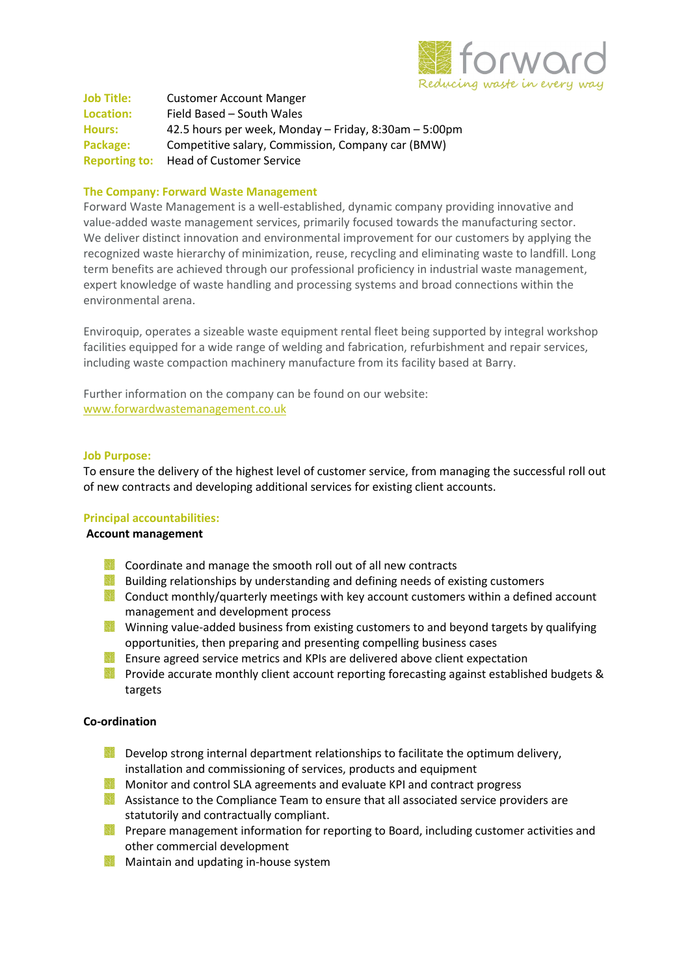

Job Title: Customer Account Manger Location: Field Based – South Wales Hours: 42.5 hours per week, Monday – Friday, 8:30am – 5:00pm Package: Competitive salary, Commission, Company car (BMW) Reporting to: Head of Customer Service

# The Company: Forward Waste Management

Forward Waste Management is a well-established, dynamic company providing innovative and value-added waste management services, primarily focused towards the manufacturing sector. We deliver distinct innovation and environmental improvement for our customers by applying the recognized waste hierarchy of minimization, reuse, recycling and eliminating waste to landfill. Long term benefits are achieved through our professional proficiency in industrial waste management, expert knowledge of waste handling and processing systems and broad connections within the environmental arena.

Enviroquip, operates a sizeable waste equipment rental fleet being supported by integral workshop facilities equipped for a wide range of welding and fabrication, refurbishment and repair services, including waste compaction machinery manufacture from its facility based at Barry.

Further information on the company can be found on our website: www.forwardwastemanagement.co.uk

### Job Purpose:

To ensure the delivery of the highest level of customer service, from managing the successful roll out of new contracts and developing additional services for existing client accounts.

## Principal accountabilities:

## Account management

- **Coordinate and manage the smooth roll out of all new contracts**
- Building relationships by understanding and defining needs of existing customers
- **Conduct monthly/quarterly meetings with key account customers within a defined account** management and development process
- Winning value-added business from existing customers to and beyond targets by qualifying opportunities, then preparing and presenting compelling business cases
- **Ensure agreed service metrics and KPIs are delivered above client expectation**
- Provide accurate monthly client account reporting forecasting against established budgets & targets

## Co-ordination

- **Develop strong internal department relationships to facilitate the optimum delivery,** installation and commissioning of services, products and equipment
- Monitor and control SLA agreements and evaluate KPI and contract progress
- Assistance to the Compliance Team to ensure that all associated service providers are statutorily and contractually compliant.
- **Prepare management information for reporting to Board, including customer activities and** other commercial development
- **Maintain and updating in-house system**